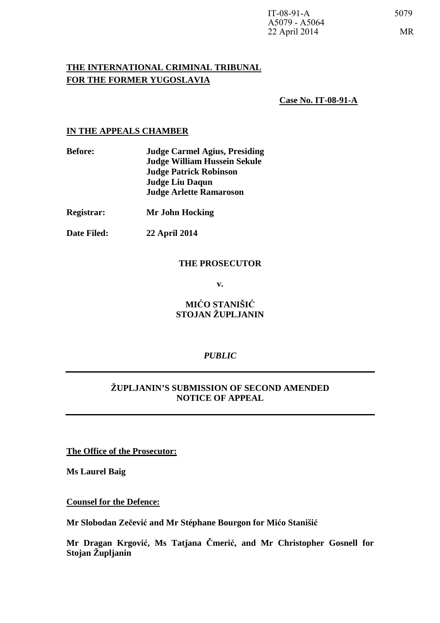# **THE INTERNATIONAL CRIMINAL TRIBUNAL FOR THE FORMER YUGOSLAVIA**

 **Case No. IT-08-91-A**

#### **IN THE APPEALS CHAMBER**

| <b>Before:</b>    | <b>Judge Carmel Agius, Presiding</b> |
|-------------------|--------------------------------------|
|                   | <b>Judge William Hussein Sekule</b>  |
|                   | <b>Judge Patrick Robinson</b>        |
|                   | <b>Judge Liu Daqun</b>               |
|                   | <b>Judge Arlette Ramaroson</b>       |
| <b>Registrar:</b> | Mr John Hocking                      |
| Date Filed:       | <b>22 April 2014</b>                 |

#### **THE PROSECUTOR**

**v.** 

# **MIĆO STANIŠIĆ STOJAN ŽUPLJANIN**

# *PUBLIC*

# **ŽUPLJANIN'S SUBMISSION OF SECOND AMENDED NOTICE OF APPEAL**

**The Office of the Prosecutor:**

**Ms Laurel Baig** 

**Counsel for the Defence:**

**Mr Slobodan Zečević and Mr Stéphane Bourgon for Mićo Stanišić**

**Mr Dragan Krgović, Ms Tatjana Čmerić, and Mr Christopher Gosnell for Stojan Župljanin**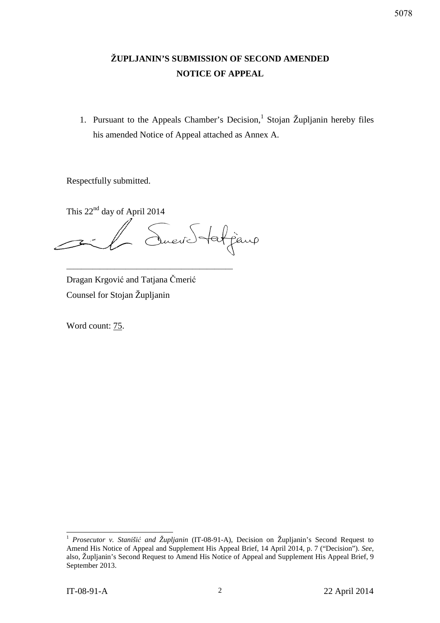# **ŽUPLJANIN'S SUBMISSION OF SECOND AMENDED NOTICE OF APPEAL**

1. Pursuant to the Appeals Chamber's Decision,<sup>1</sup> Stojan Župljanin hereby files his amended Notice of Appeal attached as Annex A.

Respectfully submitted.

This 22<sup>nd</sup> day of April 2014 Jueve Statjano

\_\_\_\_\_\_\_\_\_\_\_\_\_\_\_\_\_\_\_\_\_\_\_\_\_\_\_\_\_\_\_\_\_\_\_\_\_\_\_\_\_\_\_\_\_

Dragan Krgović and Tatjana Čmerić Counsel for Stojan Župljanin

Word count:  $75$ .

-

<sup>1</sup> *Prosecutor v. Stanišić and Župljanin* (IT-08-91-A), Decision on Župljanin's Second Request to Amend His Notice of Appeal and Supplement His Appeal Brief, 14 April 2014, p. 7 ("Decision"). *See*, also, Župljanin's Second Request to Amend His Notice of Appeal and Supplement His Appeal Brief, 9 September 2013.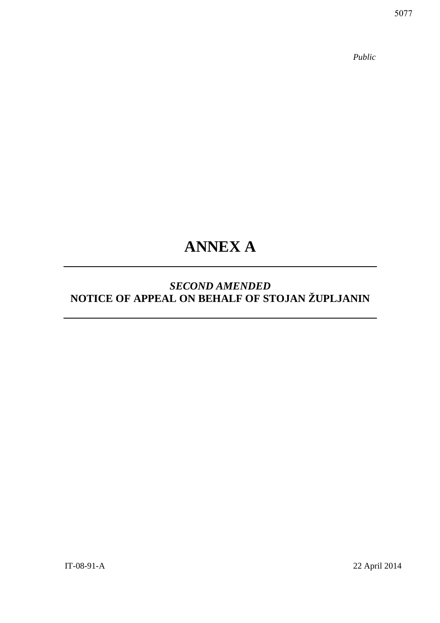*Public* 

# **ANNEX A**

# *SECOND AMENDED*  **NOTICE OF APPEAL ON BEHALF OF STOJAN ŽUPLJANIN**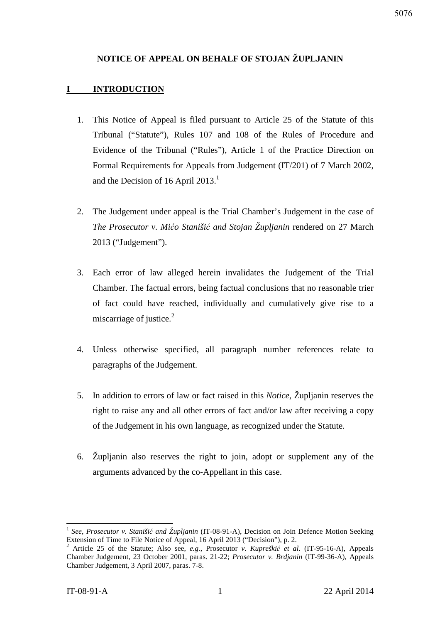# **NOTICE OF APPEAL ON BEHALF OF STOJAN ŽUPLJANIN**

# **I INTRODUCTION**

- 1. This Notice of Appeal is filed pursuant to Article 25 of the Statute of this Tribunal ("Statute"), Rules 107 and 108 of the Rules of Procedure and Evidence of the Tribunal ("Rules"), Article 1 of the Practice Direction on Formal Requirements for Appeals from Judgement (IT/201) of 7 March 2002, and the Decision of 16 April 2013.<sup>1</sup>
- 2. The Judgement under appeal is the Trial Chamber's Judgement in the case of *The Prosecutor v. Mićo Stanišić and Stojan Župljanin* rendered on 27 March 2013 ("Judgement").
- 3. Each error of law alleged herein invalidates the Judgement of the Trial Chamber. The factual errors, being factual conclusions that no reasonable trier of fact could have reached, individually and cumulatively give rise to a miscarriage of justice. $2^2$
- 4. Unless otherwise specified, all paragraph number references relate to paragraphs of the Judgement.
- 5. In addition to errors of law or fact raised in this *Notice*, Župljanin reserves the right to raise any and all other errors of fact and/or law after receiving a copy of the Judgement in his own language, as recognized under the Statute.
- 6. Župljanin also reserves the right to join, adopt or supplement any of the arguments advanced by the co-Appellant in this case.

 $\overline{\phantom{a}}$ 1 *See*, *Prosecutor v. Stanišić and Župljanin* (IT-08-91-A), Decision on Join Defence Motion Seeking Extension of Time to File Notice of Appeal, 16 April 2013 ("Decision"), p. 2.

<sup>2</sup> Article 25 of the Statute; Also see, *e.g.*, Prosecutor *v. Kupreškić et al.* (IT-95-16-A), Appeals Chamber Judgement, 23 October 2001, paras. 21-22; *Prosecutor v. Brdjanin* (IT-99-36-A), Appeals Chamber Judgement, 3 April 2007, paras. 7-8.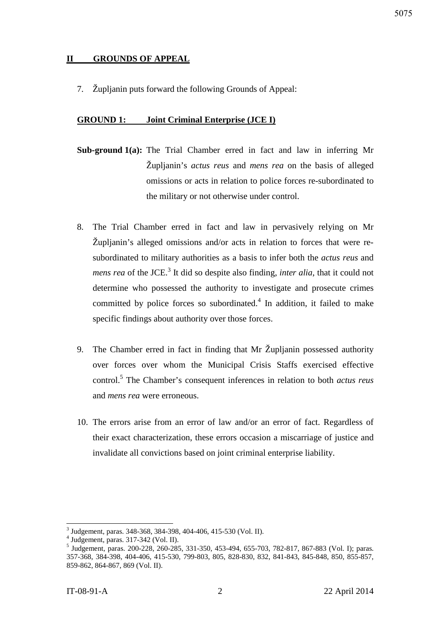# **II GROUNDS OF APPEAL**

7. Župljanin puts forward the following Grounds of Appeal:

## **GROUND 1: Joint Criminal Enterprise (JCE I)**

- **Sub-ground 1(a):** The Trial Chamber erred in fact and law in inferring Mr Župljanin's *actus reus* and *mens rea* on the basis of alleged omissions or acts in relation to police forces re-subordinated to the military or not otherwise under control.
- 8. The Trial Chamber erred in fact and law in pervasively relying on Mr Župljanin's alleged omissions and/or acts in relation to forces that were resubordinated to military authorities as a basis to infer both the *actus reus* and *mens rea* of the JCE.<sup>3</sup> It did so despite also finding, *inter alia*, that it could not determine who possessed the authority to investigate and prosecute crimes committed by police forces so subordinated. $4$  In addition, it failed to make specific findings about authority over those forces.
- 9. The Chamber erred in fact in finding that Mr Župljanin possessed authority over forces over whom the Municipal Crisis Staffs exercised effective control.<sup>5</sup> The Chamber's consequent inferences in relation to both *actus reus* and *mens rea* were erroneous.
- 10. The errors arise from an error of law and/or an error of fact. Regardless of their exact characterization, these errors occasion a miscarriage of justice and invalidate all convictions based on joint criminal enterprise liability.

 3 Judgement, paras. 348-368, 384-398, 404-406, 415-530 (Vol. II).

<sup>4</sup> Judgement, paras. 317-342 (Vol. II). 5 Judgement, paras. 200-228, 260-285, 331-350, 453-494, 655-703, 782-817, 867-883 (Vol. I); paras. 357-368, 384-398, 404-406, 415-530, 799-803, 805, 828-830, 832, 841-843, 845-848, 850, 855-857, 859-862, 864-867, 869 (Vol. II).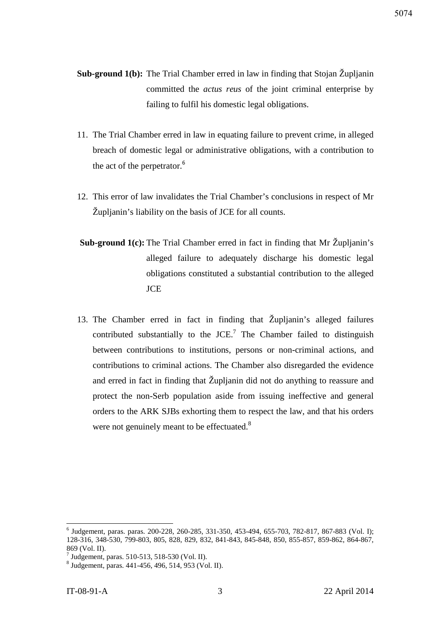- **Sub-ground 1(b):** The Trial Chamber erred in law in finding that Stojan Župljanin committed the *actus reus* of the joint criminal enterprise by failing to fulfil his domestic legal obligations.
- 11. The Trial Chamber erred in law in equating failure to prevent crime, in alleged breach of domestic legal or administrative obligations, with a contribution to the act of the perpetrator.<sup>6</sup>
- 12. This error of law invalidates the Trial Chamber's conclusions in respect of Mr Župljanin's liability on the basis of JCE for all counts.
- **Sub-ground 1(c):** The Trial Chamber erred in fact in finding that Mr Župljanin's alleged failure to adequately discharge his domestic legal obligations constituted a substantial contribution to the alleged **JCE**
- 13. The Chamber erred in fact in finding that Župljanin's alleged failures contributed substantially to the  $JCE$ .<sup>7</sup> The Chamber failed to distinguish between contributions to institutions, persons or non-criminal actions, and contributions to criminal actions. The Chamber also disregarded the evidence and erred in fact in finding that Župljanin did not do anything to reassure and protect the non-Serb population aside from issuing ineffective and general orders to the ARK SJBs exhorting them to respect the law, and that his orders were not genuinely meant to be effectuated.<sup>8</sup>

 $\overline{\phantom{a}}$ 

<sup>&</sup>lt;sup>6</sup> Judgement, paras. paras. 200-228, 260-285, 331-350, 453-494, 655-703, 782-817, 867-883 (Vol. I); 128-316, 348-530, 799-803, 805, 828, 829, 832, 841-843, 845-848, 850, 855-857, 859-862, 864-867, 869 (Vol. II).

<sup>7</sup> Judgement, paras. 510-513, 518-530 (Vol. II).

<sup>8</sup> Judgement, paras. 441-456, 496, 514, 953 (Vol. II).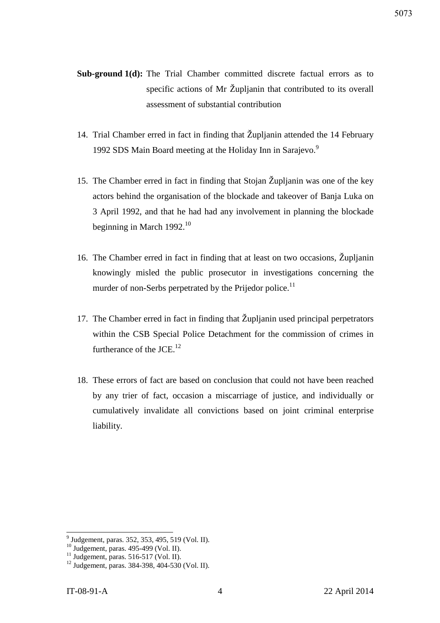- Sub-ground 1(d): The Trial Chamber committed discrete factual errors as to specific actions of Mr Župljanin that contributed to its overall assessment of substantial contribution
- 14. Trial Chamber erred in fact in finding that Župljanin attended the 14 February 1992 SDS Main Board meeting at the Holiday Inn in Sarajevo.<sup>9</sup>
- 15. The Chamber erred in fact in finding that Stojan Župljanin was one of the key actors behind the organisation of the blockade and takeover of Banja Luka on 3 April 1992, and that he had had any involvement in planning the blockade beginning in March 1992.<sup>10</sup>
- 16. The Chamber erred in fact in finding that at least on two occasions, Župljanin knowingly misled the public prosecutor in investigations concerning the murder of non-Serbs perpetrated by the Prijedor police.<sup>11</sup>
- 17. The Chamber erred in fact in finding that Župljanin used principal perpetrators within the CSB Special Police Detachment for the commission of crimes in furtherance of the  $JCE$ <sup>12</sup>
- 18. These errors of fact are based on conclusion that could not have been reached by any trier of fact, occasion a miscarriage of justice, and individually or cumulatively invalidate all convictions based on joint criminal enterprise liability.

 9 Judgement, paras. 352, 353, 495, 519 (Vol. II).

<sup>10</sup> Judgement, paras. 495-499 (Vol. II).

 $11$  Judgement, paras. 516-517 (Vol. II).

<sup>12</sup> Judgement, paras. 384-398, 404-530 (Vol. II).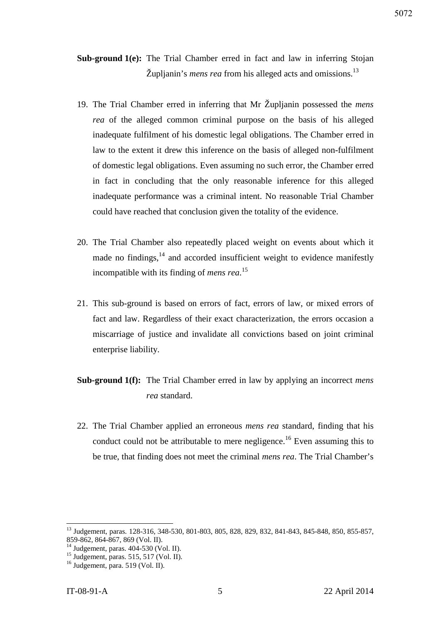**Sub-ground 1(e):** The Trial Chamber erred in fact and law in inferring Stojan Župljanin's *mens rea* from his alleged acts and omissions.<sup>13</sup>

- 19. The Trial Chamber erred in inferring that Mr Župljanin possessed the *mens rea* of the alleged common criminal purpose on the basis of his alleged inadequate fulfilment of his domestic legal obligations. The Chamber erred in law to the extent it drew this inference on the basis of alleged non-fulfilment of domestic legal obligations. Even assuming no such error, the Chamber erred in fact in concluding that the only reasonable inference for this alleged inadequate performance was a criminal intent. No reasonable Trial Chamber could have reached that conclusion given the totality of the evidence.
- 20. The Trial Chamber also repeatedly placed weight on events about which it made no findings,  $14$  and accorded insufficient weight to evidence manifestly incompatible with its finding of *mens rea*. 15
- 21. This sub-ground is based on errors of fact, errors of law, or mixed errors of fact and law. Regardless of their exact characterization, the errors occasion a miscarriage of justice and invalidate all convictions based on joint criminal enterprise liability.
- **Sub-ground 1(f):** The Trial Chamber erred in law by applying an incorrect *mens rea* standard.
- 22. The Trial Chamber applied an erroneous *mens rea* standard, finding that his conduct could not be attributable to mere negligence.<sup>16</sup> Even assuming this to be true, that finding does not meet the criminal *mens rea*. The Trial Chamber's

 $\overline{\phantom{a}}$ 

<sup>&</sup>lt;sup>13</sup> Judgement, paras. 128-316, 348-530, 801-803, 805, 828, 829, 832, 841-843, 845-848, 850, 855-857, 859-862, 864-867, 869 (Vol. II).

 $^{14}$  Judgement, paras. 404-530 (Vol. II).

 $^{15}$  Judgement, paras. 515, 517 (Vol. II).

<sup>16</sup> Judgement, para. 519 (Vol. II).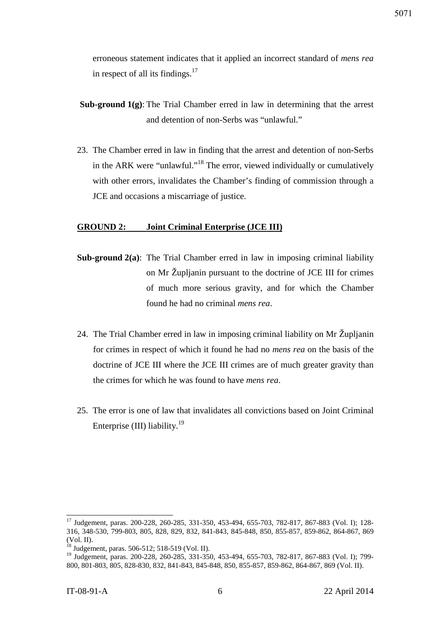erroneous statement indicates that it applied an incorrect standard of *mens rea* in respect of all its findings. $17$ 

- **Sub-ground 1(g)**: The Trial Chamber erred in law in determining that the arrest and detention of non-Serbs was "unlawful."
- 23. The Chamber erred in law in finding that the arrest and detention of non-Serbs in the ARK were "unlawful."<sup>18</sup> The error, viewed individually or cumulatively with other errors, invalidates the Chamber's finding of commission through a JCE and occasions a miscarriage of justice.

## **GROUND 2: Joint Criminal Enterprise (JCE III)**

- **Sub-ground 2(a)**: The Trial Chamber erred in law in imposing criminal liability on Mr Župljanin pursuant to the doctrine of JCE III for crimes of much more serious gravity, and for which the Chamber found he had no criminal *mens rea*.
- 24. The Trial Chamber erred in law in imposing criminal liability on Mr Župljanin for crimes in respect of which it found he had no *mens rea* on the basis of the doctrine of JCE III where the JCE III crimes are of much greater gravity than the crimes for which he was found to have *mens rea*.
- 25. The error is one of law that invalidates all convictions based on Joint Criminal Enterprise (III) liability.<sup>19</sup>

<sup>&</sup>lt;sup>17</sup> Judgement, paras. 200-228, 260-285, 331-350, 453-494, 655-703, 782-817, 867-883 (Vol. I); 128-316, 348-530, 799-803, 805, 828, 829, 832, 841-843, 845-848, 850, 855-857, 859-862, 864-867, 869  $\left(\text{Vol. II}\right).$ <sup>18</sup>

<sup>18</sup> Judgement, paras. 506-512; 518-519 (Vol. II).

<sup>&</sup>lt;sup>19</sup> Judgement, paras. 200-228, 260-285, 331-350, 453-494, 655-703, 782-817, 867-883 (Vol. I); 799-800, 801-803, 805, 828-830, 832, 841-843, 845-848, 850, 855-857, 859-862, 864-867, 869 (Vol. II).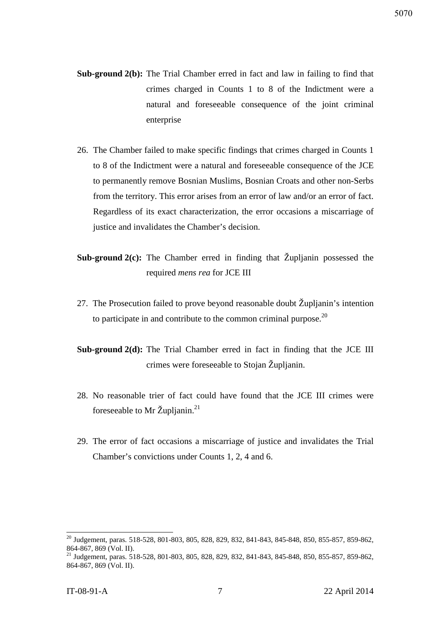- **Sub-ground 2(b):** The Trial Chamber erred in fact and law in failing to find that crimes charged in Counts 1 to 8 of the Indictment were a natural and foreseeable consequence of the joint criminal enterprise
- 26. The Chamber failed to make specific findings that crimes charged in Counts 1 to 8 of the Indictment were a natural and foreseeable consequence of the JCE to permanently remove Bosnian Muslims, Bosnian Croats and other non-Serbs from the territory. This error arises from an error of law and/or an error of fact. Regardless of its exact characterization, the error occasions a miscarriage of justice and invalidates the Chamber's decision.
- **Sub-ground 2(c):** The Chamber erred in finding that Župlianin possessed the required *mens rea* for JCE III
- 27. The Prosecution failed to prove beyond reasonable doubt Župljanin's intention to participate in and contribute to the common criminal purpose. $20$
- **Sub-ground 2(d):** The Trial Chamber erred in fact in finding that the JCE III crimes were foreseeable to Stojan Župljanin.
- 28. No reasonable trier of fact could have found that the JCE III crimes were foreseeable to Mr Župljanin. $^{21}$
- 29. The error of fact occasions a miscarriage of justice and invalidates the Trial Chamber's convictions under Counts 1, 2, 4 and 6.

<sup>&</sup>lt;sup>20</sup> Judgement, paras. 518-528, 801-803, 805, 828, 829, 832, 841-843, 845-848, 850, 855-857, 859-862, 864-867, 869 (Vol. II).

<sup>&</sup>lt;sup>21</sup> Judgement, paras. 518-528, 801-803, 805, 828, 829, 832, 841-843, 845-848, 850, 855-857, 859-862, 864-867, 869 (Vol. II).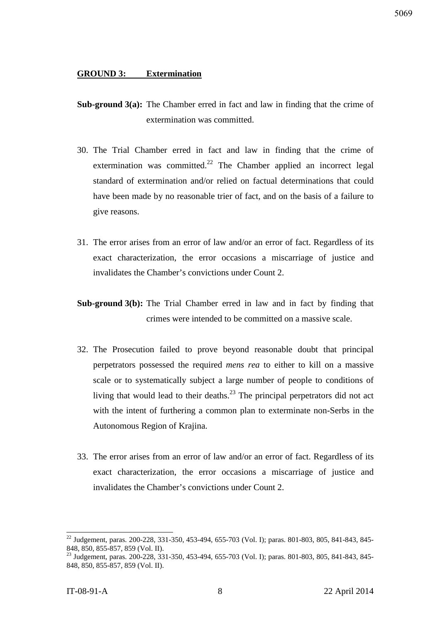#### **GROUND 3: Extermination**

- **Sub-ground 3(a):** The Chamber erred in fact and law in finding that the crime of extermination was committed.
- 30. The Trial Chamber erred in fact and law in finding that the crime of extermination was committed.<sup>22</sup> The Chamber applied an incorrect legal standard of extermination and/or relied on factual determinations that could have been made by no reasonable trier of fact, and on the basis of a failure to give reasons.
- 31. The error arises from an error of law and/or an error of fact. Regardless of its exact characterization, the error occasions a miscarriage of justice and invalidates the Chamber's convictions under Count 2.
- **Sub-ground 3(b):** The Trial Chamber erred in law and in fact by finding that crimes were intended to be committed on a massive scale.
- 32. The Prosecution failed to prove beyond reasonable doubt that principal perpetrators possessed the required *mens rea* to either to kill on a massive scale or to systematically subject a large number of people to conditions of living that would lead to their deaths.<sup>23</sup> The principal perpetrators did not act with the intent of furthering a common plan to exterminate non-Serbs in the Autonomous Region of Krajina.
- 33. The error arises from an error of law and/or an error of fact. Regardless of its exact characterization, the error occasions a miscarriage of justice and invalidates the Chamber's convictions under Count 2.

<sup>&</sup>lt;sup>22</sup> Judgement, paras. 200-228, 331-350, 453-494, 655-703 (Vol. I); paras. 801-803, 805, 841-843, 845-848, 850, 855-857, 859 (Vol. II).

<sup>&</sup>lt;sup>23</sup> Judgement, paras. 200-228, 331-350, 453-494, 655-703 (Vol. I); paras. 801-803, 805, 841-843, 845-848, 850, 855-857, 859 (Vol. II).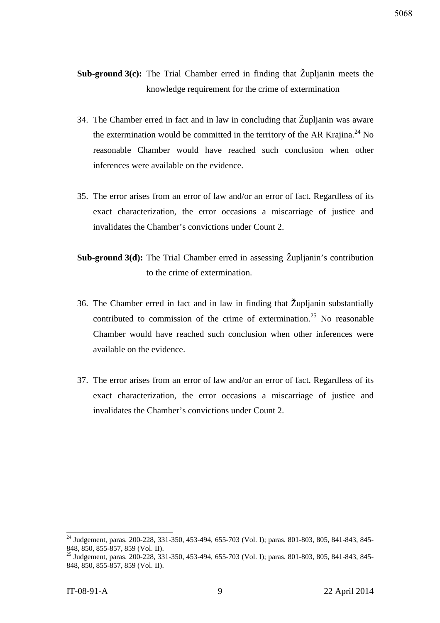**Sub-ground 3(c):** The Trial Chamber erred in finding that Župljanin meets the knowledge requirement for the crime of extermination

- 34. The Chamber erred in fact and in law in concluding that Župljanin was aware the extermination would be committed in the territory of the AR Krajina.<sup>24</sup> No reasonable Chamber would have reached such conclusion when other inferences were available on the evidence.
- 35. The error arises from an error of law and/or an error of fact. Regardless of its exact characterization, the error occasions a miscarriage of justice and invalidates the Chamber's convictions under Count 2.
- **Sub-ground 3(d):** The Trial Chamber erred in assessing Župlianin's contribution to the crime of extermination.
- 36. The Chamber erred in fact and in law in finding that Župljanin substantially contributed to commission of the crime of extermination.<sup>25</sup> No reasonable Chamber would have reached such conclusion when other inferences were available on the evidence.
- 37. The error arises from an error of law and/or an error of fact. Regardless of its exact characterization, the error occasions a miscarriage of justice and invalidates the Chamber's convictions under Count 2.

<sup>&</sup>lt;sup>24</sup> Judgement, paras. 200-228, 331-350, 453-494, 655-703 (Vol. I); paras. 801-803, 805, 841-843, 845-848, 850, 855-857, 859 (Vol. II).

<sup>&</sup>lt;sup>25</sup> Judgement, paras. 200-228, 331-350, 453-494, 655-703 (Vol. I); paras. 801-803, 805, 841-843, 845-848, 850, 855-857, 859 (Vol. II).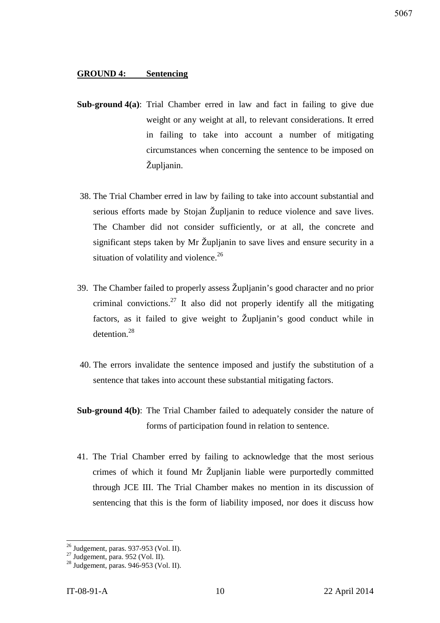#### **GROUND 4: Sentencing**

- **Sub-ground 4(a)**: Trial Chamber erred in law and fact in failing to give due weight or any weight at all, to relevant considerations. It erred in failing to take into account a number of mitigating circumstances when concerning the sentence to be imposed on Župljanin.
- 38. The Trial Chamber erred in law by failing to take into account substantial and serious efforts made by Stojan Župljanin to reduce violence and save lives. The Chamber did not consider sufficiently, or at all, the concrete and significant steps taken by Mr Župljanin to save lives and ensure security in a situation of volatility and violence.<sup>26</sup>
- 39. The Chamber failed to properly assess Župljanin's good character and no prior criminal convictions.<sup>27</sup> It also did not properly identify all the mitigating factors, as it failed to give weight to Župljanin's good conduct while in detention.<sup>28</sup>
- 40. The errors invalidate the sentence imposed and justify the substitution of a sentence that takes into account these substantial mitigating factors.
- **Sub-ground 4(b)**: The Trial Chamber failed to adequately consider the nature of forms of participation found in relation to sentence.
- 41. The Trial Chamber erred by failing to acknowledge that the most serious crimes of which it found Mr Župljanin liable were purportedly committed through JCE III. The Trial Chamber makes no mention in its discussion of sentencing that this is the form of liability imposed, nor does it discuss how

 $\overline{a}$  $^{26}$  Judgement, paras. 937-953 (Vol. II).

 $^{27}$  Judgement, para. 952 (Vol. II).

<sup>28</sup> Judgement, paras. 946-953 (Vol. II).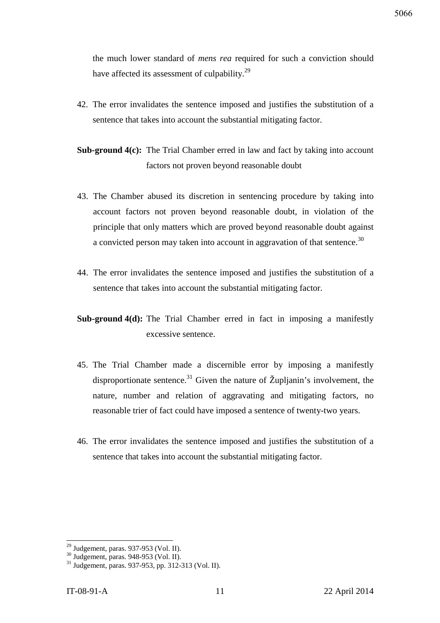the much lower standard of *mens rea* required for such a conviction should have affected its assessment of culpability.<sup>29</sup>

42. The error invalidates the sentence imposed and justifies the substitution of a sentence that takes into account the substantial mitigating factor.

**Sub-ground 4(c):** The Trial Chamber erred in law and fact by taking into account factors not proven beyond reasonable doubt

- 43. The Chamber abused its discretion in sentencing procedure by taking into account factors not proven beyond reasonable doubt, in violation of the principle that only matters which are proved beyond reasonable doubt against a convicted person may taken into account in aggravation of that sentence.<sup>30</sup>
- 44. The error invalidates the sentence imposed and justifies the substitution of a sentence that takes into account the substantial mitigating factor.
- **Sub-ground 4(d):** The Trial Chamber erred in fact in imposing a manifestly excessive sentence.
- 45. The Trial Chamber made a discernible error by imposing a manifestly disproportionate sentence.<sup>31</sup> Given the nature of  $\check{Z}$ uplianin's involvement, the nature, number and relation of aggravating and mitigating factors, no reasonable trier of fact could have imposed a sentence of twenty-two years.
- 46. The error invalidates the sentence imposed and justifies the substitution of a sentence that takes into account the substantial mitigating factor.

 $\overline{a}$  $29$  Judgement, paras. 937-953 (Vol. II).

<sup>30</sup> Judgement, paras. 948-953 (Vol. II).

<sup>31</sup> Judgement, paras. 937-953, pp. 312-313 (Vol. II).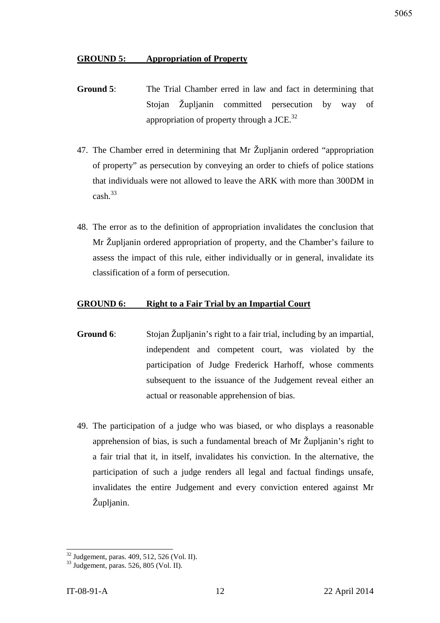#### **GROUND 5: Appropriation of Property**

- **Ground 5**: The Trial Chamber erred in law and fact in determining that Stojan Župljanin committed persecution by way of appropriation of property through a JCE. $^{32}$
- 47. The Chamber erred in determining that Mr Župljanin ordered "appropriation of property" as persecution by conveying an order to chiefs of police stations that individuals were not allowed to leave the ARK with more than 300DM in  $cash<sup>33</sup>$
- 48. The error as to the definition of appropriation invalidates the conclusion that Mr Župljanin ordered appropriation of property, and the Chamber's failure to assess the impact of this rule, either individually or in general, invalidate its classification of a form of persecution.

#### **GROUND 6: Right to a Fair Trial by an Impartial Court**

- **Ground 6**: Stojan Župljanin's right to a fair trial, including by an impartial, independent and competent court, was violated by the participation of Judge Frederick Harhoff, whose comments subsequent to the issuance of the Judgement reveal either an actual or reasonable apprehension of bias.
- 49. The participation of a judge who was biased, or who displays a reasonable apprehension of bias, is such a fundamental breach of Mr Župljanin's right to a fair trial that it, in itself, invalidates his conviction. In the alternative, the participation of such a judge renders all legal and factual findings unsafe, invalidates the entire Judgement and every conviction entered against Mr Župljanin.

 $32$  Judgement, paras. 409, 512, 526 (Vol. II).

<sup>33</sup> Judgement, paras. 526, 805 (Vol. II).